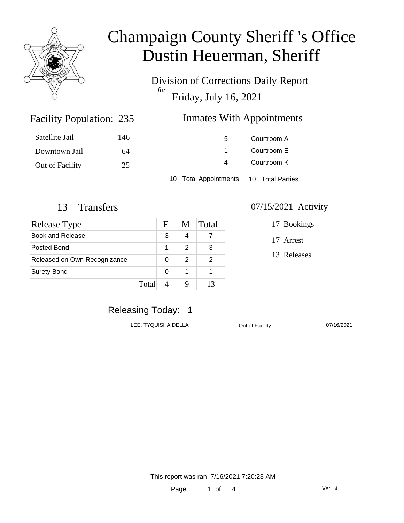

Division of Corrections Daily Report *for* Friday, July 16, 2021

#### Facility Population: 235

### Inmates With Appointments

| Satellite Jail  | 146 | 5                                      | Courtroom A |  |
|-----------------|-----|----------------------------------------|-------------|--|
| Downtown Jail   | 64  |                                        | Courtroom E |  |
| Out of Facility | 25  | 4                                      | Courtroom K |  |
|                 |     | 10 Total Appointments 10 Total Parties |             |  |

| Release Type                 |       | F | M | Total |
|------------------------------|-------|---|---|-------|
| Book and Release             |       | 3 | 4 |       |
| Posted Bond                  |       | 1 | 2 | 3     |
| Released on Own Recognizance |       | 0 | 2 | 2     |
| <b>Surety Bond</b>           |       | 0 | 1 |       |
|                              | Total |   |   | 13    |

#### 13 Transfers 07/15/2021 Activity

17 Bookings

17 Arrest

13 Releases

## Releasing Today: 1

LEE, TYQUISHA DELLA Out of Facility 07/16/2021

This report was ran 7/16/2021 7:20:23 AM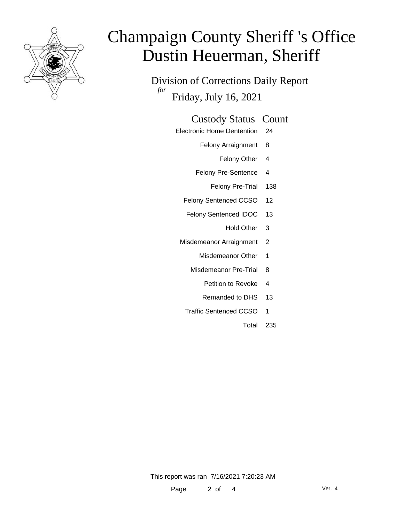

Division of Corrections Daily Report *for* Friday, July 16, 2021

#### Custody Status Count

- Electronic Home Dentention 24
	- Felony Arraignment 8
		- Felony Other 4
	- Felony Pre-Sentence 4
		- Felony Pre-Trial 138
	- Felony Sentenced CCSO 12
	- Felony Sentenced IDOC 13
		- Hold Other 3
	- Misdemeanor Arraignment 2
		- Misdemeanor Other 1
		- Misdemeanor Pre-Trial 8
			- Petition to Revoke 4
			- Remanded to DHS 13
		- Traffic Sentenced CCSO 1
			- Total 235

This report was ran 7/16/2021 7:20:23 AM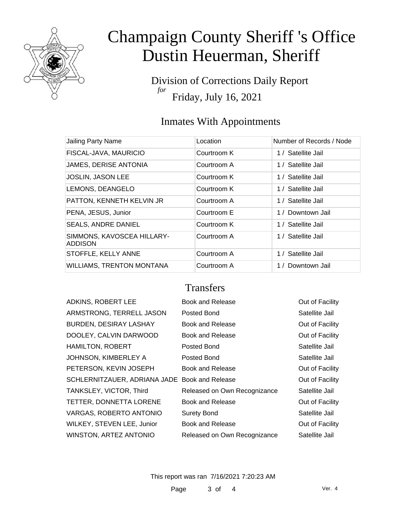

Division of Corrections Daily Report *for* Friday, July 16, 2021

## Inmates With Appointments

| Jailing Party Name                           | Location    | Number of Records / Node |
|----------------------------------------------|-------------|--------------------------|
| FISCAL-JAVA, MAURICIO                        | Courtroom K | 1 / Satellite Jail       |
| JAMES, DERISE ANTONIA                        | Courtroom A | 1 / Satellite Jail       |
| <b>JOSLIN, JASON LEE</b>                     | Courtroom K | 1 / Satellite Jail       |
| LEMONS, DEANGELO                             | Courtroom K | 1 / Satellite Jail       |
| PATTON, KENNETH KELVIN JR                    | Courtroom A | 1 / Satellite Jail       |
| PENA, JESUS, Junior                          | Courtroom E | 1 / Downtown Jail        |
| <b>SEALS, ANDRE DANIEL</b>                   | Courtroom K | 1 / Satellite Jail       |
| SIMMONS, KAVOSCEA HILLARY-<br><b>ADDISON</b> | Courtroom A | 1 / Satellite Jail       |
| STOFFLE, KELLY ANNE                          | Courtroom A | 1 / Satellite Jail       |
| WILLIAMS, TRENTON MONTANA                    | Courtroom A | 1 / Downtown Jail        |

### **Transfers**

| ADKINS, ROBERT LEE                            | Book and Release             | Out of Facility |
|-----------------------------------------------|------------------------------|-----------------|
| ARMSTRONG, TERRELL JASON                      | Posted Bond                  | Satellite Jail  |
| BURDEN, DESIRAY LASHAY                        | Book and Release             | Out of Facility |
| DOOLEY, CALVIN DARWOOD                        | Book and Release             | Out of Facility |
| HAMILTON, ROBERT                              | Posted Bond                  | Satellite Jail  |
| JOHNSON, KIMBERLEY A                          | Posted Bond                  | Satellite Jail  |
| PETERSON, KEVIN JOSEPH                        | Book and Release             | Out of Facility |
| SCHLERNITZAUER, ADRIANA JADE Book and Release |                              | Out of Facility |
| TANKSLEY, VICTOR, Third                       | Released on Own Recognizance | Satellite Jail  |
| TETTER, DONNETTA LORENE                       | <b>Book and Release</b>      | Out of Facility |
| VARGAS, ROBERTO ANTONIO                       | <b>Surety Bond</b>           | Satellite Jail  |
| WILKEY, STEVEN LEE, Junior                    | <b>Book and Release</b>      | Out of Facility |
| WINSTON, ARTEZ ANTONIO                        | Released on Own Recognizance | Satellite Jail  |
|                                               |                              |                 |